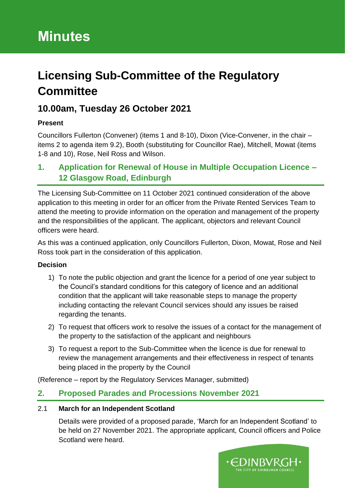# **Licensing Sub-Committee of the Regulatory Committee**

# **10.00am, Tuesday 26 October 2021**

### **Present**

Councillors Fullerton (Convener) (items 1 and 8-10), Dixon (Vice-Convener, in the chair – items 2 to agenda item 9.2), Booth (substituting for Councillor Rae), Mitchell, Mowat (items 1-8 and 10), Rose, Neil Ross and Wilson.

# **1. Application for Renewal of House in Multiple Occupation Licence – 12 Glasgow Road, Edinburgh**

The Licensing Sub-Committee on 11 October 2021 continued consideration of the above application to this meeting in order for an officer from the Private Rented Services Team to attend the meeting to provide information on the operation and management of the property and the responsibilities of the applicant. The applicant, objectors and relevant Council officers were heard.

As this was a continued application, only Councillors Fullerton, Dixon, Mowat, Rose and Neil Ross took part in the consideration of this application.

### **Decision**

- 1) To note the public objection and grant the licence for a period of one year subject to the Council's standard conditions for this category of licence and an additional condition that the applicant will take reasonable steps to manage the property including contacting the relevant Council services should any issues be raised regarding the tenants.
- 2) To request that officers work to resolve the issues of a contact for the management of the property to the satisfaction of the applicant and neighbours
- 3) To request a report to the Sub-Committee when the licence is due for renewal to review the management arrangements and their effectiveness in respect of tenants being placed in the property by the Council

(Reference – report by the Regulatory Services Manager, submitted)

# **2. Proposed Parades and Processions November 2021**

#### 2.1 **March for an Independent Scotland**

Details were provided of a proposed parade, 'March for an Independent Scotland' to be held on 27 November 2021. The appropriate applicant, Council officers and Police Scotland were heard.

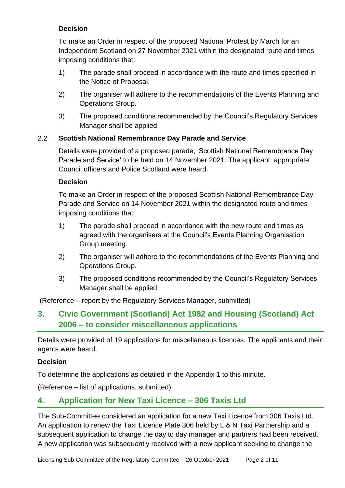### **Decision**

To make an Order in respect of the proposed National Protest by March for an Independent Scotland on 27 November 2021 within the designated route and times imposing conditions that:

- 1) The parade shall proceed in accordance with the route and times specified in the Notice of Proposal.
- 2) The organiser will adhere to the recommendations of the Events Planning and Operations Group.
- 3) The proposed conditions recommended by the Council's Regulatory Services Manager shall be applied.

#### 2.2 **Scottish National Remembrance Day Parade and Service**

Details were provided of a proposed parade, 'Scottish National Remembrance Day Parade and Service' to be held on 14 November 2021. The applicant, appropriate Council officers and Police Scotland were heard.

#### **Decision**

To make an Order in respect of the proposed Scottish National Remembrance Day Parade and Service on 14 November 2021 within the designated route and times imposing conditions that:

- 1) The parade shall proceed in accordance with the new route and times as agreed with the organisers at the Council's Events Planning Organisation Group meeting.
- 2) The organiser will adhere to the recommendations of the Events Planning and Operations Group.
- 3) The proposed conditions recommended by the Council's Regulatory Services Manager shall be applied.

(Reference – report by the Regulatory Services Manager, submitted)

# **3. Civic Government (Scotland) Act 1982 and Housing (Scotland) Act 2006 – to consider miscellaneous applications**

Details were provided of 19 applications for miscellaneous licences. The applicants and their agents were heard.

#### **Decision**

To determine the applications as detailed in the Appendix 1 to this minute.

(Reference – list of applications, submitted)

### **4. Application for New Taxi Licence – 306 Taxis Ltd**

The Sub-Committee considered an application for a new Taxi Licence from 306 Taxis Ltd. An application to renew the Taxi Licence Plate 306 held by L & N Taxi Partnership and a subsequent application to change the day to day manager and partners had been received. A new application was subsequently received with a new applicant seeking to change the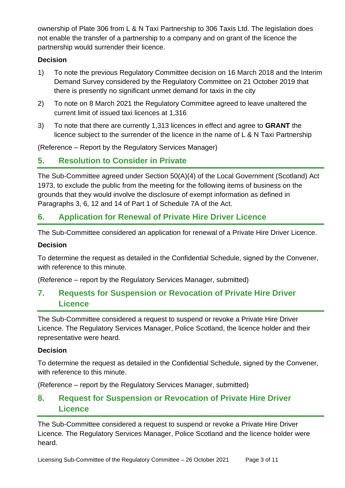ownership of Plate 306 from L & N Taxi Partnership to 306 Taxis Ltd. The legislation does not enable the transfer of a partnership to a company and on grant of the licence the partnership would surrender their licence.

### **Decision**

- 1) To note the previous Regulatory Committee decision on 16 March 2018 and the Interim Demand Survey considered by the Regulatory Committee on 21 October 2019 that there is presently no significant unmet demand for taxis in the city
- 2) To note on 8 March 2021 the Regulatory Committee agreed to leave unaltered the current limit of issued taxi licences at 1,316
- 3) To note that there are currently 1,313 licences in effect and agree to **GRANT** the licence subject to the surrender of the licence in the name of L & N Taxi Partnership

(Reference – Report by the Regulatory Services Manager)

### **5. Resolution to Consider in Private**

The Sub-Committee agreed under Section 50(A)(4) of the Local Government (Scotland) Act 1973, to exclude the public from the meeting for the following items of business on the grounds that they would involve the disclosure of exempt information as defined in Paragraphs 3, 6, 12 and 14 of Part 1 of Schedule 7A of the Act.

# **6. Application for Renewal of Private Hire Driver Licence**

The Sub-Committee considered an application for renewal of a Private Hire Driver Licence.

#### **Decision**

To determine the request as detailed in the Confidential Schedule, signed by the Convener, with reference to this minute.

(Reference – report by the Regulatory Services Manager, submitted)

# **7. Requests for Suspension or Revocation of Private Hire Driver Licence**

The Sub-Committee considered a request to suspend or revoke a Private Hire Driver Licence. The Regulatory Services Manager, Police Scotland, the licence holder and their representative were heard.

#### **Decision**

To determine the request as detailed in the Confidential Schedule, signed by the Convener, with reference to this minute.

(Reference – report by the Regulatory Services Manager, submitted)

# **8. Request for Suspension or Revocation of Private Hire Driver Licence**

The Sub-Committee considered a request to suspend or revoke a Private Hire Driver Licence. The Regulatory Services Manager, Police Scotland and the licence holder were heard.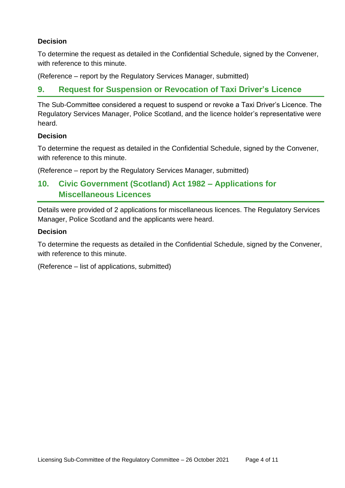### **Decision**

To determine the request as detailed in the Confidential Schedule, signed by the Convener, with reference to this minute.

(Reference – report by the Regulatory Services Manager, submitted)

### **9. Request for Suspension or Revocation of Taxi Driver's Licence**

The Sub-Committee considered a request to suspend or revoke a Taxi Driver's Licence. The Regulatory Services Manager, Police Scotland, and the licence holder's representative were heard.

#### **Decision**

To determine the request as detailed in the Confidential Schedule, signed by the Convener, with reference to this minute.

(Reference – report by the Regulatory Services Manager, submitted)

# **10. Civic Government (Scotland) Act 1982 – Applications for Miscellaneous Licences**

Details were provided of 2 applications for miscellaneous licences. The Regulatory Services Manager, Police Scotland and the applicants were heard.

#### **Decision**

To determine the requests as detailed in the Confidential Schedule, signed by the Convener, with reference to this minute.

(Reference – list of applications, submitted)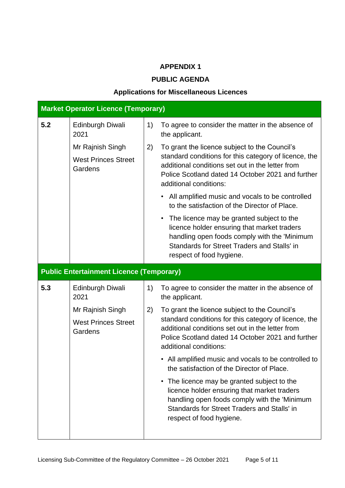### **APPENDIX 1**

### **PUBLIC AGENDA**

### **Applications for Miscellaneous Licences**

| <b>Market Operator Licence (Temporary)</b> |                                                 |    |                                                                                                                                                                                                                                           |
|--------------------------------------------|-------------------------------------------------|----|-------------------------------------------------------------------------------------------------------------------------------------------------------------------------------------------------------------------------------------------|
| 5.2                                        | Edinburgh Diwali<br>2021                        | 1) | To agree to consider the matter in the absence of<br>the applicant.                                                                                                                                                                       |
|                                            | Mr Rajnish Singh                                | 2) | To grant the licence subject to the Council's<br>standard conditions for this category of licence, the<br>additional conditions set out in the letter from<br>Police Scotland dated 14 October 2021 and further<br>additional conditions: |
| <b>West Princes Street</b><br>Gardens      |                                                 |    |                                                                                                                                                                                                                                           |
|                                            |                                                 |    | All amplified music and vocals to be controlled<br>to the satisfaction of the Director of Place.                                                                                                                                          |
|                                            |                                                 |    | • The licence may be granted subject to the<br>licence holder ensuring that market traders<br>handling open foods comply with the 'Minimum<br>Standards for Street Traders and Stalls' in<br>respect of food hygiene.                     |
|                                            | <b>Public Entertainment Licence (Temporary)</b> |    |                                                                                                                                                                                                                                           |
| 5.3                                        | <b>Edinburgh Diwali</b><br>2021                 | 1) | To agree to consider the matter in the absence of<br>the applicant.                                                                                                                                                                       |
|                                            | Mr Rajnish Singh                                | 2) | To grant the licence subject to the Council's                                                                                                                                                                                             |
|                                            | <b>West Princes Street</b><br>Gardens           |    | standard conditions for this category of licence, the<br>additional conditions set out in the letter from<br>Police Scotland dated 14 October 2021 and further<br>additional conditions:                                                  |
|                                            |                                                 |    | • All amplified music and vocals to be controlled to<br>the satisfaction of the Director of Place.                                                                                                                                        |
|                                            |                                                 |    | • The licence may be granted subject to the<br>licence holder ensuring that market traders<br>handling open foods comply with the 'Minimum<br>Standards for Street Traders and Stalls' in<br>respect of food hygiene.                     |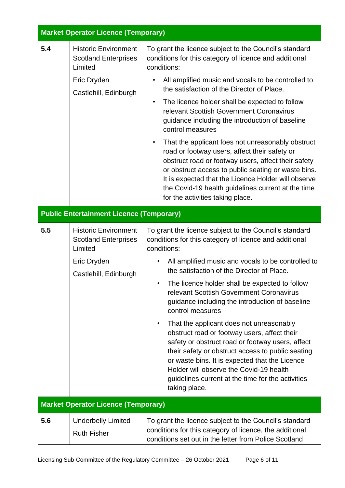| <b>Market Operator Licence (Temporary)</b> |                                                                                                               |                                                                                                                                                                                                                                                                                                                                                                                                                                                                                                                                                                                                                                                                                                                                                                                                                      |  |
|--------------------------------------------|---------------------------------------------------------------------------------------------------------------|----------------------------------------------------------------------------------------------------------------------------------------------------------------------------------------------------------------------------------------------------------------------------------------------------------------------------------------------------------------------------------------------------------------------------------------------------------------------------------------------------------------------------------------------------------------------------------------------------------------------------------------------------------------------------------------------------------------------------------------------------------------------------------------------------------------------|--|
| 5.4                                        | <b>Historic Environment</b><br><b>Scotland Enterprises</b><br>Limited<br>Eric Dryden<br>Castlehill, Edinburgh | To grant the licence subject to the Council's standard<br>conditions for this category of licence and additional<br>conditions:<br>All amplified music and vocals to be controlled to<br>$\bullet$<br>the satisfaction of the Director of Place.<br>The licence holder shall be expected to follow<br>$\bullet$<br>relevant Scottish Government Coronavirus<br>guidance including the introduction of baseline<br>control measures<br>That the applicant foes not unreasonably obstruct<br>$\bullet$<br>road or footway users, affect their safety or<br>obstruct road or footway users, affect their safety<br>or obstruct access to public seating or waste bins.<br>It is expected that the Licence Holder will observe<br>the Covid-19 health guidelines current at the time<br>for the activities taking place. |  |
|                                            | <b>Public Entertainment Licence (Temporary)</b>                                                               |                                                                                                                                                                                                                                                                                                                                                                                                                                                                                                                                                                                                                                                                                                                                                                                                                      |  |
| 5.5                                        | <b>Historic Environment</b><br><b>Scotland Enterprises</b><br>Limited<br>Eric Dryden<br>Castlehill, Edinburgh | To grant the licence subject to the Council's standard<br>conditions for this category of licence and additional<br>conditions:<br>All amplified music and vocals to be controlled to<br>the satisfaction of the Director of Place.<br>The licence holder shall be expected to follow<br>relevant Scottish Government Coronavirus<br>guidance including the introduction of baseline<br>control measures<br>That the applicant does not unreasonably<br>$\bullet$<br>obstruct road or footway users, affect their<br>safety or obstruct road or footway users, affect<br>their safety or obstruct access to public seating<br>or waste bins. It is expected that the Licence<br>Holder will observe the Covid-19 health<br>guidelines current at the time for the activities<br>taking place.                        |  |
|                                            | <b>Market Operator Licence (Temporary)</b>                                                                    |                                                                                                                                                                                                                                                                                                                                                                                                                                                                                                                                                                                                                                                                                                                                                                                                                      |  |
| 5.6                                        | <b>Underbelly Limited</b><br><b>Ruth Fisher</b>                                                               | To grant the licence subject to the Council's standard<br>conditions for this category of licence, the additional<br>conditions set out in the letter from Police Scotland                                                                                                                                                                                                                                                                                                                                                                                                                                                                                                                                                                                                                                           |  |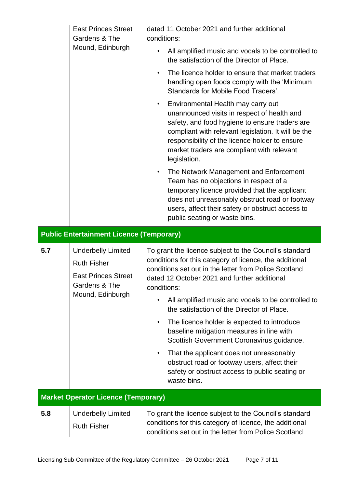|     | <b>East Princes Street</b><br>Gardens & The<br>Mound, Edinburgh                                                    | dated 11 October 2021 and further additional<br>conditions:<br>All amplified music and vocals to be controlled to<br>the satisfaction of the Director of Place.<br>The licence holder to ensure that market traders<br>handling open foods comply with the 'Minimum<br>Standards for Mobile Food Traders'.<br>Environmental Health may carry out<br>$\bullet$<br>unannounced visits in respect of health and<br>safety, and food hygiene to ensure traders are<br>compliant with relevant legislation. It will be the<br>responsibility of the licence holder to ensure<br>market traders are compliant with relevant<br>legislation.<br>The Network Management and Enforcement<br>$\bullet$<br>Team has no objections in respect of a<br>temporary licence provided that the applicant<br>does not unreasonably obstruct road or footway<br>users, affect their safety or obstruct access to<br>public seating or waste bins. |
|-----|--------------------------------------------------------------------------------------------------------------------|--------------------------------------------------------------------------------------------------------------------------------------------------------------------------------------------------------------------------------------------------------------------------------------------------------------------------------------------------------------------------------------------------------------------------------------------------------------------------------------------------------------------------------------------------------------------------------------------------------------------------------------------------------------------------------------------------------------------------------------------------------------------------------------------------------------------------------------------------------------------------------------------------------------------------------|
|     | <b>Public Entertainment Licence (Temporary)</b>                                                                    |                                                                                                                                                                                                                                                                                                                                                                                                                                                                                                                                                                                                                                                                                                                                                                                                                                                                                                                                |
| 5.7 | <b>Underbelly Limited</b><br><b>Ruth Fisher</b><br><b>East Princes Street</b><br>Gardens & The<br>Mound, Edinburgh | To grant the licence subject to the Council's standard<br>conditions for this category of licence, the additional<br>conditions set out in the letter from Police Scotland<br>dated 12 October 2021 and further additional<br>conditions:<br>All amplified music and vocals to be controlled to<br>the satisfaction of the Director of Place.<br>The licence holder is expected to introduce<br>$\bullet$<br>baseline mitigation measures in line with<br>Scottish Government Coronavirus guidance.<br>That the applicant does not unreasonably<br>obstruct road or footway users, affect their<br>safety or obstruct access to public seating or<br>waste bins.                                                                                                                                                                                                                                                               |
|     | <b>Market Operator Licence (Temporary)</b>                                                                         |                                                                                                                                                                                                                                                                                                                                                                                                                                                                                                                                                                                                                                                                                                                                                                                                                                                                                                                                |
| 5.8 | <b>Underbelly Limited</b><br><b>Ruth Fisher</b>                                                                    | To grant the licence subject to the Council's standard<br>conditions for this category of licence, the additional<br>conditions set out in the letter from Police Scotland                                                                                                                                                                                                                                                                                                                                                                                                                                                                                                                                                                                                                                                                                                                                                     |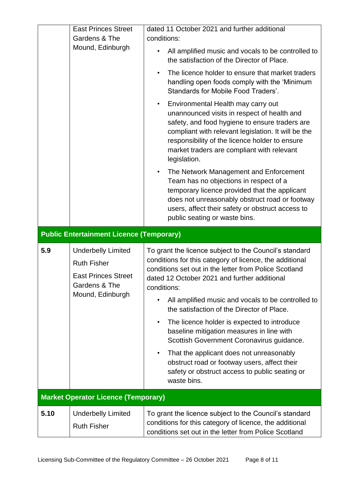|     | <b>East Princes Street</b><br>Gardens & The<br>Mound, Edinburgh                                                    | dated 11 October 2021 and further additional<br>conditions:<br>All amplified music and vocals to be controlled to<br>the satisfaction of the Director of Place.<br>The licence holder to ensure that market traders<br>handling open foods comply with the 'Minimum<br>Standards for Mobile Food Traders'.<br>Environmental Health may carry out<br>$\bullet$<br>unannounced visits in respect of health and<br>safety, and food hygiene to ensure traders are<br>compliant with relevant legislation. It will be the<br>responsibility of the licence holder to ensure<br>market traders are compliant with relevant<br>legislation.<br>The Network Management and Enforcement<br>$\bullet$<br>Team has no objections in respect of a |
|-----|--------------------------------------------------------------------------------------------------------------------|----------------------------------------------------------------------------------------------------------------------------------------------------------------------------------------------------------------------------------------------------------------------------------------------------------------------------------------------------------------------------------------------------------------------------------------------------------------------------------------------------------------------------------------------------------------------------------------------------------------------------------------------------------------------------------------------------------------------------------------|
|     |                                                                                                                    | temporary licence provided that the applicant<br>does not unreasonably obstruct road or footway<br>users, affect their safety or obstruct access to<br>public seating or waste bins.                                                                                                                                                                                                                                                                                                                                                                                                                                                                                                                                                   |
|     | <b>Public Entertainment Licence (Temporary)</b>                                                                    |                                                                                                                                                                                                                                                                                                                                                                                                                                                                                                                                                                                                                                                                                                                                        |
| 5.9 | <b>Underbelly Limited</b><br><b>Ruth Fisher</b><br><b>East Princes Street</b><br>Gardens & The<br>Mound, Edinburgh | To grant the licence subject to the Council's standard<br>conditions for this category of licence, the additional<br>conditions set out in the letter from Police Scotland<br>dated 12 October 2021 and further additional<br>conditions:<br>All amplified music and vocals to be controlled to<br>the satisfaction of the Director of Place.<br>The licence holder is expected to introduce<br>$\bullet$<br>baseline mitigation measures in line with<br>Scottish Government Coronavirus guidance.<br>That the applicant does not unreasonably<br>obstruct road or footway users, affect their<br>safety or obstruct access to public seating or                                                                                      |
|     |                                                                                                                    | waste bins.                                                                                                                                                                                                                                                                                                                                                                                                                                                                                                                                                                                                                                                                                                                            |
|     | <b>Market Operator Licence (Temporary)</b>                                                                         |                                                                                                                                                                                                                                                                                                                                                                                                                                                                                                                                                                                                                                                                                                                                        |
|     |                                                                                                                    |                                                                                                                                                                                                                                                                                                                                                                                                                                                                                                                                                                                                                                                                                                                                        |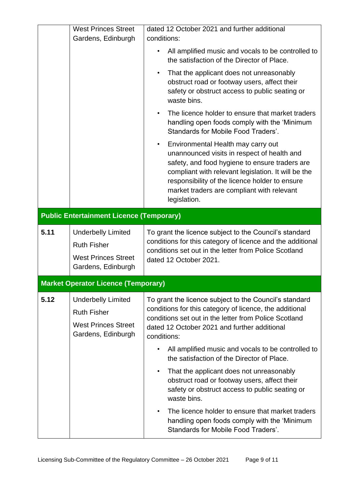|      | <b>West Princes Street</b><br>Gardens, Edinburgh                                                    | dated 12 October 2021 and further additional<br>conditions:                                                                                                                                                                                                                                                             |
|------|-----------------------------------------------------------------------------------------------------|-------------------------------------------------------------------------------------------------------------------------------------------------------------------------------------------------------------------------------------------------------------------------------------------------------------------------|
|      |                                                                                                     | All amplified music and vocals to be controlled to<br>the satisfaction of the Director of Place.                                                                                                                                                                                                                        |
|      |                                                                                                     | That the applicant does not unreasonably<br>$\bullet$<br>obstruct road or footway users, affect their<br>safety or obstruct access to public seating or<br>waste bins.                                                                                                                                                  |
|      |                                                                                                     | The licence holder to ensure that market traders<br>$\bullet$<br>handling open foods comply with the 'Minimum<br><b>Standards for Mobile Food Traders'.</b>                                                                                                                                                             |
|      |                                                                                                     | Environmental Health may carry out<br>$\bullet$<br>unannounced visits in respect of health and<br>safety, and food hygiene to ensure traders are<br>compliant with relevant legislation. It will be the<br>responsibility of the licence holder to ensure<br>market traders are compliant with relevant<br>legislation. |
|      | <b>Public Entertainment Licence (Temporary)</b>                                                     |                                                                                                                                                                                                                                                                                                                         |
| 5.11 | <b>Underbelly Limited</b><br><b>Ruth Fisher</b><br><b>West Princes Street</b><br>Gardens, Edinburgh | To grant the licence subject to the Council's standard<br>conditions for this category of licence and the additional<br>conditions set out in the letter from Police Scotland<br>dated 12 October 2021.                                                                                                                 |
|      | <b>Market Operator Licence (Temporary)</b>                                                          |                                                                                                                                                                                                                                                                                                                         |
| 5.12 | <b>Underbelly Limited</b><br><b>Ruth Fisher</b><br><b>West Princes Street</b><br>Gardens, Edinburgh | To grant the licence subject to the Council's standard<br>conditions for this category of licence, the additional<br>conditions set out in the letter from Police Scotland<br>dated 12 October 2021 and further additional<br>conditions:                                                                               |
|      |                                                                                                     | All amplified music and vocals to be controlled to<br>the satisfaction of the Director of Place.                                                                                                                                                                                                                        |
|      |                                                                                                     | That the applicant does not unreasonably<br>obstruct road or footway users, affect their<br>safety or obstruct access to public seating or<br>waste bins.                                                                                                                                                               |
|      |                                                                                                     | The licence holder to ensure that market traders<br>handling open foods comply with the 'Minimum<br><b>Standards for Mobile Food Traders'.</b>                                                                                                                                                                          |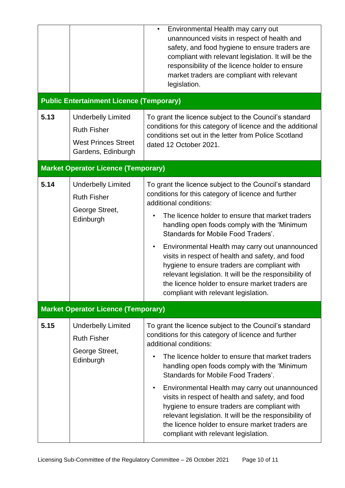|      |                                                                                                     | Environmental Health may carry out<br>$\bullet$<br>unannounced visits in respect of health and<br>safety, and food hygiene to ensure traders are<br>compliant with relevant legislation. It will be the<br>responsibility of the licence holder to ensure<br>market traders are compliant with relevant<br>legislation.                                                                                                                                                                                                                                                                                    |
|------|-----------------------------------------------------------------------------------------------------|------------------------------------------------------------------------------------------------------------------------------------------------------------------------------------------------------------------------------------------------------------------------------------------------------------------------------------------------------------------------------------------------------------------------------------------------------------------------------------------------------------------------------------------------------------------------------------------------------------|
|      | <b>Public Entertainment Licence (Temporary)</b>                                                     |                                                                                                                                                                                                                                                                                                                                                                                                                                                                                                                                                                                                            |
| 5.13 | <b>Underbelly Limited</b><br><b>Ruth Fisher</b><br><b>West Princes Street</b><br>Gardens, Edinburgh | To grant the licence subject to the Council's standard<br>conditions for this category of licence and the additional<br>conditions set out in the letter from Police Scotland<br>dated 12 October 2021.                                                                                                                                                                                                                                                                                                                                                                                                    |
|      | <b>Market Operator Licence (Temporary)</b>                                                          |                                                                                                                                                                                                                                                                                                                                                                                                                                                                                                                                                                                                            |
| 5.14 | <b>Underbelly Limited</b><br><b>Ruth Fisher</b><br>George Street,<br>Edinburgh                      | To grant the licence subject to the Council's standard<br>conditions for this category of licence and further<br>additional conditions:<br>The licence holder to ensure that market traders<br>handling open foods comply with the 'Minimum<br>Standards for Mobile Food Traders'.<br>Environmental Health may carry out unannounced<br>$\bullet$<br>visits in respect of health and safety, and food<br>hygiene to ensure traders are compliant with<br>relevant legislation. It will be the responsibility of<br>the licence holder to ensure market traders are<br>compliant with relevant legislation. |
|      | <b>Market Operator Licence (Temporary)</b>                                                          |                                                                                                                                                                                                                                                                                                                                                                                                                                                                                                                                                                                                            |
| 5.15 | <b>Underbelly Limited</b><br><b>Ruth Fisher</b><br>George Street,<br>Edinburgh                      | To grant the licence subject to the Council's standard<br>conditions for this category of licence and further<br>additional conditions:<br>The licence holder to ensure that market traders<br>handling open foods comply with the 'Minimum<br>Standards for Mobile Food Traders'.                                                                                                                                                                                                                                                                                                                         |
|      |                                                                                                     | Environmental Health may carry out unannounced<br>$\bullet$<br>visits in respect of health and safety, and food<br>hygiene to ensure traders are compliant with<br>relevant legislation. It will be the responsibility of<br>the licence holder to ensure market traders are<br>compliant with relevant legislation.                                                                                                                                                                                                                                                                                       |